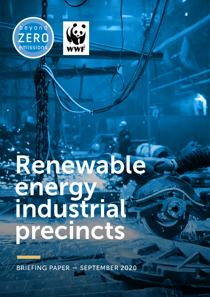



# Renewable energy. industrial precincts

BRIEFING PAPER — SEPTEMBER 2020

Renewable energy industrial precincts — Briefing Paper 1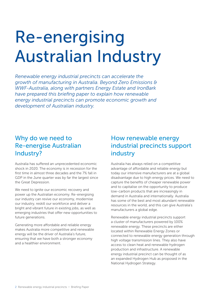# Re-energising Australian Industry

*Renewable energy industrial precincts can accelerate the growth of manufacturing in Australia. Beyond Zero Emissions & WWF-Australia, along with partners Energy Estate and IronBark have prepared this briefing paper to explain how renewable energy industrial precincts can promote economic growth and development of Australian industry.*

#### Why do we need to Re-energise Australian Industry?

Australia has suffered an unprecedented economic shock in 2020. The economy is in recession for the first time in almost three decades and the 7% fall in GDP in the June quarter was by far the largest since the Great Depression.

We need to ignite our economic recovery and power up the Australian economy. Re-energising our industry can revive our economy, modernise our industry, reskill our workforce and deliver a bright and vibrant future in existing jobs, as well as emerging industries that offer new opportunities to future generations.

Generating more affordable and reliable energy makes Australia more competitive and renewable energy will be the driver of Australia's future, ensuring that we have both a stronger economy and a healthier environment.

## How renewable energy industrial precincts support industry

Australia has always relied on a competitive advantage of affordable and reliable energy but today our intensive manufacturers are at a global disadvantage due to high energy prices. We need to capture the benefits of cheaper renewable power and to capitalise on the opportunity to produce low-carbon products that are increasingly in demand in Australia and internationally. Australia has some of the best and most abundant renewable resources in the world, and this can give Australia's manufacturers a global edge.

Renewable energy industrial precincts support a cluster of manufacturers powered by 100% renewable energy. These precincts are either located within Renewable Energy Zones or connected to renewable energy generation through high voltage transmission lines. They also have access to clean heat and renewable hydrogen production and infrastructure. A renewable energy industrial precinct can be thought of as an expanded Hydrogen Hub as proposed in the National Hydrogen Strategy.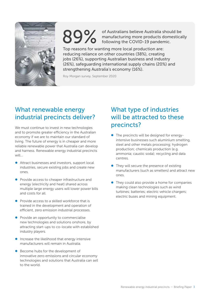

89% of Australians believe Australia should be<br>manufacturing more products domestica<br>following the COVID-19 pandemic. manufacturing more products domestically following the COVID-19 pandemic.

Top reasons for wanting more local production are: reducing reliance on other countries (38%), creating jobs (26%), supporting Australian business and industry (26%), safeguarding international supply chains (20%) and strengthening Australia's economy (16%).

Roy Morgan survey, September 2020

## What renewable energy industrial precincts deliver?

We must continue to invest in new technologies and to promote greater efficiency in the Australian economy if we are to maintain our standard of living. The future of energy is in cheaper and more reliable renewable power that Australia can develop and harness. Renewable energy industrial precincts will…

- $\bullet$  Attract businesses and investors, support local industries, secure existing jobs and create new ones.
- **•** Provide access to cheaper infrastructure and energy (electricity and heat) shared across multiple large energy users will lower power bills and costs for all.
- $\bullet$  Provide access to a skilled workforce that is trained in the development and operation of efficient, zero emission industrial processes.
- **•** Provide an opportunity to commercialise new technologies and solutions onshore, by attracting start-ups to co-locate with established industry players.
- Increase the likelihood that energy intensive manufacturers will remain in Australia.
- $\bullet$  Become hubs for the development of innovative zero emissions and circular economy technologies and solutions that Australia can sell to the world.

## What type of industries will be attracted to these precincts?

- The precincts will be designed for energyintensive businesses such aluminium smelting, steel and other metals processing; hydrogen production; chemicals production (e.g. ammonia; caustic soda); recycling and data centres.
- They will secure the presence of existing manufacturers (such as smelters) and attract new ones.
- They could also provide a home for companies making clean technologies such as wind turbines; batteries; electric vehicle chargers; electric buses and mining equipment.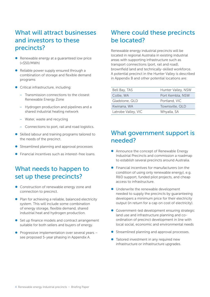## What will attract businesses and investors to these precincts?

- $\bullet$  Renewable energy at a guaranteed low price (<\$50/MWh)
- $\bullet$  Reliable power supply ensured through a combination of storage and flexible demand programs
- **•** Critical infrastructure, including:
	- Transmission connections to the closest Renewable Energy Zone
	- Hydrogen production and pipelines and a shared industrial heating network
	- Water, waste and recycling
	- Connections to port, rail and road logistics.
- Skilled labour and training programs tailored to the needs of the precinct.
- Streamlined planning and approval processes
- Financial incentives such as interest-free loans.

## What needs to happen to set up these precincts?

- Construction of renewable energy zone and connection to precinct.
- Plan for achieving a reliable, balanced electricity system. This will include some combination of energy storage, flexible demand, shared industrial heat and hydrogen production.
- $\bullet$  Set up finance models and contract arrangement suitable for both sellers and buyers of energy.
- $\bullet$  Progressive implementation over several years see proposed 5-year phasing in Appendix A.

## Where could these precincts be located?

Renewable energy industrial precincts will be located in regional Australia in existing industrial areas with supporting infrastructure such as transport connections (port, rail and road), brownfield land and technically-skilled workforce. A potential precinct in the Hunter Valley is described in Appendix B and other potential locations are:

| Bell Bay, TAS       | Hunter Valley, NSW |
|---------------------|--------------------|
| Collie, WA          | Port Kembla, NSW   |
| Gladstone, QLD      | Portland, VIC      |
| Kwinana, WA         | Townsville, QLD    |
| Latrobe Valley, VIC | Whyalla, SA        |

#### What government support is needed?

- Announce the concept of Renewable Energy Industrial Precincts and commission a roadmap to establish several precincts around Australia.
- $\bullet$  Financial incentives for manufacturers (on the condition of using only renewable energy), e.g. R&D support, funded pilot projects, and cheap access to infrastructure.
- **•** Underwrite the renewable development needed to supply the precincts by guaranteeing developers a minimum price for their electricity output (in return for a cap on cost of electricity).
- **Government-led development ensuring strategic** land use and infrastructure planning and coordination of precinct development in line with local social, economic and environmental needs
- Streamlined planning and approval processes.
- $\bullet$  Tailored investment in any required new infrastructure or infrastructure upgrades.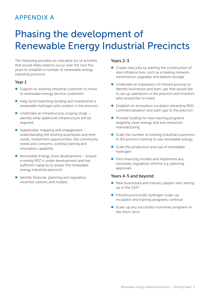## APPENDIX A

## Phasing the development of Renewable Energy Industrial Precincts

The following provides an indicative list of activities that would likely need to occur over the next five years to establish a number of renewable energy industrial precincts.

#### Year 1

- $\bullet$  Support an existing industrial customer to move to renewable energy (anchor customer)
- $\bullet$  Help fund (matching funding and investment) a renewable hydrogen pilot project in the precinct
- $\bullet$  Undertake an infrastructure scoping study identify what additional infrastructure will be required
- $\bullet$  Stakeholder mapping and engagement understanding the existing businesses and their needs, investment opportunities, the community needs and concerns, existing training and innovation capability
- Renewable Energy Zone development ensure a nearby REZ is under development and has sufficient capacity to power the renewable energy industrial precincts
- $\bullet$  Identify financial, planning and regulatory incentive options and models.

#### Years 2-3

- $\bullet$  Create new jobs by starting the construction of new infrastructure, such as a heating network, transmission upgrades and battery storage
- **•** Undertake an Expression of Interest process to identify businesses and start-ups that would like to set up operations in the precinct and investors who would like to invest
- $\bullet$  Establish an innovation incubator attracting R&D, commercialisation and start-ups to the precinct
- $\bullet$  Provide funding for new training programs targeting clean energy and low emissions manufacturing
- $\bullet$  Scale the number of existing industrial customers in the precinct starting to use renewable energy
- $\bullet$  Scale the production and use of renewable hydrogen
- $\bullet$  Pilot financing models and implement any necessary regulatory reforms e.g. planning approvals

#### Years 4-5 and beyond

- $\bullet$  New businesses and industry players start setting up in the CEIP
- $\bullet$  Infrastructure build, hydrogen scale-up, incubator and training programs continue
- $\bullet$  Scale-up any successful incentives programs in the short-term.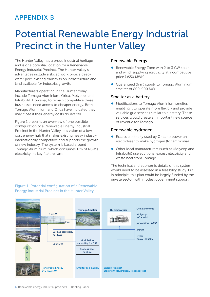## APPENDIX B

## Potential Renewable Energy Industrial Precinct in the Hunter Valley

The Hunter Valley has a proud industrial heritage and is one potential location for a Renewable Energy Industrial Precinct. The Hunter Valley's advantages include a skilled workforce, a deepwater port, existing transmission infrastructure and land available for industrial growth.

Manufacturers operating in the Hunter today include Tomago Aluminium, Orica, Molycop, and Infrabuild. However, to remain competitive these businesses need access to cheaper energy. Both Tomago Aluminium and Orica have indicated they may close if their energy costs do not fall.

Figure 1 presents an overview of one possible configuration of a Renewable Energy Industrial Precinct in the Hunter Valley. It is vision of a lowcost energy hub that makes existing heavy industry internationally competitive and supports the growth of new industry. The system is based around Tomago Aluminium, which consumes 12% of NSW's electricity. Its key features are:

#### Renewable Energy

- Renewable Energy Zone with 2 to 3 GW solar and wind, supplying electricity at a competitive price (<\$50 MWh).
- Guaranteed (firm) supply to Tomago Aluminium smelter of 800-900 MW.

#### Smelter as a battery

• Modifications to Tomago Aluminium smelter, enabling it to operate more flexibly and provide valuable grid services similar to a battery. These services would create an important new source of revenue for Tomago.

#### Renewable hydrogen

- **•** Excess electricity used by Orica to power an electrolyser to make hydrogen (for ammonia).
- Other local manufacturers (such as Molycop and Infrabuild) use additional excess electricity and waste heat from Tomago.

The technical and economic details of this system would need to be assessed in a feasibility study. But in principle, this plan could be largely funded by the private sector, with modest government support.



Figure 1: Potential configuration of a Renewable Energy Industrial Precinct in the Hunter Valley.